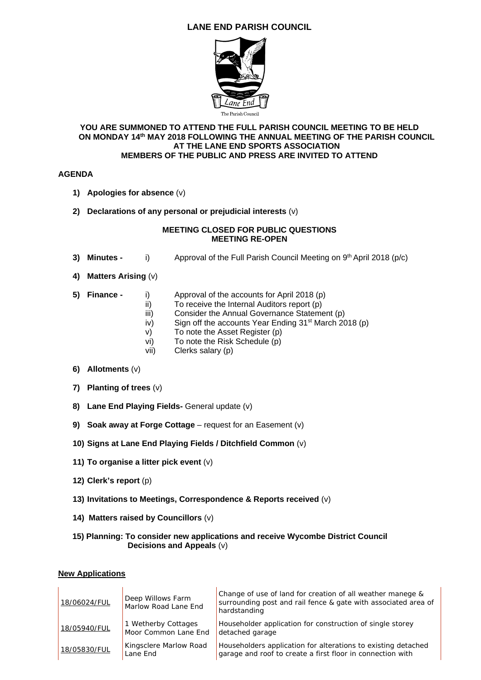# **LANE END PARISH COUNCIL**



#### **YOU ARE SUMMONED TO ATTEND THE FULL PARISH COUNCIL MEETING TO BE HELD ON MONDAY 14th MAY 2018 FOLLOWING THE ANNUAL MEETING OF THE PARISH COUNCIL AT THE LANE END SPORTS ASSOCIATION MEMBERS OF THE PUBLIC AND PRESS ARE INVITED TO ATTEND**

## **AGENDA**

- **1) Apologies for absence** (v)
- **2) Declarations of any personal or prejudicial interests** (v)

#### **MEETING CLOSED FOR PUBLIC QUESTIONS MEETING RE-OPEN**

- **3) Minutes - i)** Approval of the Full Parish Council Meeting on 9<sup>th</sup> April 2018 (p/c)
- **4) Matters Arising** (v)
- 
- **5) Finance** i) Approval of the accounts for April 2018 (p)
	- ii) To receive the Internal Auditors report (p)
	- iii) Consider the Annual Governance Statement (p)
	- iv) Sign off the accounts Year Ending  $31<sup>st</sup>$  March 2018 (p)
	- v) To note the Asset Register (p)
	- vi) To note the Risk Schedule (p)
	- vii) Clerks salary (p)
- **6) Allotments** (v)
- **7) Planting of trees** (v)
- **8) Lane End Playing Fields-** General update (v)
- **9) Soak away at Forge Cottage** request for an Easement (v)
- **10) Signs at Lane End Playing Fields / Ditchfield Common** (v)
- **11) To organise a litter pick event** (v)
- **12) Clerk's report** (p)
- **13) Invitations to Meetings, Correspondence & Reports received** (v)
- **14) Matters raised by Councillors** (v)

## **15) Planning: To consider new applications and receive Wycombe District Council Decisions and Appeals** (v)

#### **New Applications**

| 18/06024/FUL | Deep Willows Farm<br>Marlow Road Lane End   | Change of use of land for creation of all weather manege &<br>surrounding post and rail fence & gate with associated area of<br>hardstanding |
|--------------|---------------------------------------------|----------------------------------------------------------------------------------------------------------------------------------------------|
| 18/05940/FUL | 1 Wetherby Cottages<br>Moor Common Lane End | Householder application for construction of single storey<br>detached garage                                                                 |
| 18/05830/FUL | Kingsclere Marlow Road<br>Lane End          | Householders application for alterations to existing detached<br>garage and roof to create a first floor in connection with                  |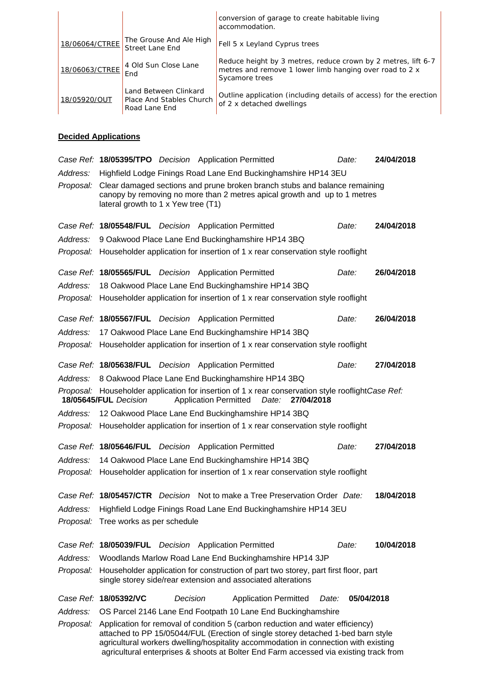|                |                                                                    | conversion of garage to create habitable living<br>accommodation.                                                                          |
|----------------|--------------------------------------------------------------------|--------------------------------------------------------------------------------------------------------------------------------------------|
| 18/06064/CTREE | The Grouse And Ale High<br><b>Street Lane End</b>                  | Fell 5 x Leyland Cyprus trees                                                                                                              |
| 18/06063/CTREE | 4 Old Sun Close Lane<br>End                                        | Reduce height by 3 metres, reduce crown by 2 metres, lift 6-7<br>metres and remove 1 lower limb hanging over road to 2 x<br>Sycamore trees |
| 18/05920/OUT   | Land Between Clinkard<br>Place And Stables Church<br>Road Lane End | Outline application (including details of access) for the erection<br>of 2 x detached dwellings                                            |

## **Decided Applications**

|           | Case Ref: 18/05395/TPO Decision Application Permitted                                                                                                                                                                                                                                                                                              |          |  |                                                                             |       | Date:      | 24/04/2018 |  |  |
|-----------|----------------------------------------------------------------------------------------------------------------------------------------------------------------------------------------------------------------------------------------------------------------------------------------------------------------------------------------------------|----------|--|-----------------------------------------------------------------------------|-------|------------|------------|--|--|
| Address:  | Highfield Lodge Finings Road Lane End Buckinghamshire HP14 3EU                                                                                                                                                                                                                                                                                     |          |  |                                                                             |       |            |            |  |  |
| Proposal: | Clear damaged sections and prune broken branch stubs and balance remaining<br>canopy by removing no more than 2 metres apical growth and up to 1 metres<br>lateral growth to 1 x Yew tree (T1)                                                                                                                                                     |          |  |                                                                             |       |            |            |  |  |
|           | Case Ref: 18/05548/FUL Decision Application Permitted                                                                                                                                                                                                                                                                                              |          |  |                                                                             |       | Date:      | 24/04/2018 |  |  |
| Address:  |                                                                                                                                                                                                                                                                                                                                                    |          |  | 9 Oakwood Place Lane End Buckinghamshire HP14 3BQ                           |       |            |            |  |  |
| Proposal: | Householder application for insertion of 1 x rear conservation style rooflight                                                                                                                                                                                                                                                                     |          |  |                                                                             |       |            |            |  |  |
|           | Case Ref: 18/05565/FUL Decision Application Permitted                                                                                                                                                                                                                                                                                              |          |  |                                                                             |       | Date:      | 26/04/2018 |  |  |
| Address:  |                                                                                                                                                                                                                                                                                                                                                    |          |  | 18 Oakwood Place Lane End Buckinghamshire HP14 3BQ                          |       |            |            |  |  |
| Proposal: | Householder application for insertion of 1 x rear conservation style rooflight                                                                                                                                                                                                                                                                     |          |  |                                                                             |       |            |            |  |  |
|           | Case Ref: 18/05567/FUL Decision Application Permitted                                                                                                                                                                                                                                                                                              |          |  |                                                                             |       | Date:      | 26/04/2018 |  |  |
| Address:  | 17 Oakwood Place Lane End Buckinghamshire HP14 3BQ                                                                                                                                                                                                                                                                                                 |          |  |                                                                             |       |            |            |  |  |
| Proposal: | Householder application for insertion of 1 x rear conservation style rooflight                                                                                                                                                                                                                                                                     |          |  |                                                                             |       |            |            |  |  |
|           | Case Ref: 18/05638/FUL Decision Application Permitted                                                                                                                                                                                                                                                                                              |          |  |                                                                             |       | Date:      | 27/04/2018 |  |  |
| Address:  |                                                                                                                                                                                                                                                                                                                                                    |          |  | 8 Oakwood Place Lane End Buckinghamshire HP14 3BQ                           |       |            |            |  |  |
|           | Proposal: Householder application for insertion of 1 x rear conservation style rooflightCase Ref:<br>18/05645/FUL Decision<br><b>Application Permitted</b><br>Date:<br>27/04/2018                                                                                                                                                                  |          |  |                                                                             |       |            |            |  |  |
| Address:  |                                                                                                                                                                                                                                                                                                                                                    |          |  | 12 Oakwood Place Lane End Buckinghamshire HP14 3BQ                          |       |            |            |  |  |
| Proposal: | Householder application for insertion of 1 x rear conservation style rooflight                                                                                                                                                                                                                                                                     |          |  |                                                                             |       |            |            |  |  |
|           | Case Ref: 18/05646/FUL Decision Application Permitted                                                                                                                                                                                                                                                                                              |          |  |                                                                             |       | Date:      | 27/04/2018 |  |  |
| Address:  | 14 Oakwood Place Lane End Buckinghamshire HP14 3BQ                                                                                                                                                                                                                                                                                                 |          |  |                                                                             |       |            |            |  |  |
| Proposal: | Householder application for insertion of 1 x rear conservation style rooflight                                                                                                                                                                                                                                                                     |          |  |                                                                             |       |            |            |  |  |
|           |                                                                                                                                                                                                                                                                                                                                                    |          |  | Case Ref: 18/05457/CTR Decision Not to make a Tree Preservation Order Date: |       |            | 18/04/2018 |  |  |
| Address:  | Highfield Lodge Finings Road Lane End Buckinghamshire HP14 3EU                                                                                                                                                                                                                                                                                     |          |  |                                                                             |       |            |            |  |  |
|           | Proposal: Tree works as per schedule                                                                                                                                                                                                                                                                                                               |          |  |                                                                             |       |            |            |  |  |
|           | Case Ref: 18/05039/FUL Decision Application Permitted                                                                                                                                                                                                                                                                                              |          |  |                                                                             |       | Date:      | 10/04/2018 |  |  |
| Address:  |                                                                                                                                                                                                                                                                                                                                                    |          |  | Woodlands Marlow Road Lane End Buckinghamshire HP14 3JP                     |       |            |            |  |  |
| Proposal: | Householder application for construction of part two storey, part first floor, part<br>single storey side/rear extension and associated alterations                                                                                                                                                                                                |          |  |                                                                             |       |            |            |  |  |
|           | Case Ref: 18/05392/VC                                                                                                                                                                                                                                                                                                                              | Decision |  | <b>Application Permitted</b>                                                | Date: | 05/04/2018 |            |  |  |
| Address:  |                                                                                                                                                                                                                                                                                                                                                    |          |  | OS Parcel 2146 Lane End Footpath 10 Lane End Buckinghamshire                |       |            |            |  |  |
| Proposal: | Application for removal of condition 5 (carbon reduction and water efficiency)<br>attached to PP 15/05044/FUL (Erection of single storey detached 1-bed barn style<br>agricultural workers dwelling/hospitality accommodation in connection with existing<br>agricultural enterprises & shoots at Bolter End Farm accessed via existing track from |          |  |                                                                             |       |            |            |  |  |